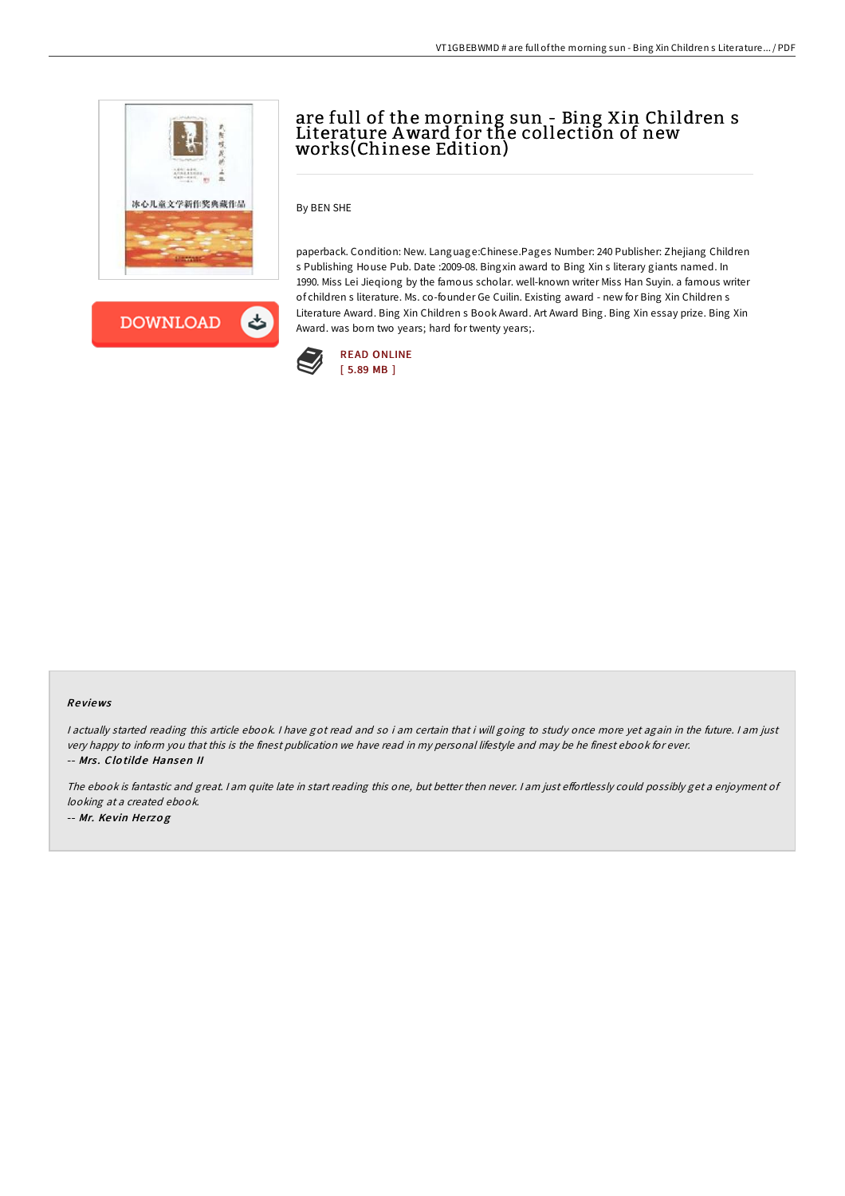

**DOWNLOAD** ょ

## are full of the morning sun - Bing Xin Children s Literature Award for the collection of new works(Chinese Edition)

By BEN SHE

paperback. Condition: New. Language:Chinese.Pages Number: 240 Publisher: Zhejiang Children s Publishing House Pub. Date :2009-08. Bingxin award to Bing Xin s literary giants named. In 1990. Miss Lei Jieqiong by the famous scholar. well-known writer Miss Han Suyin. a famous writer of children s literature. Ms. co-founder Ge Cuilin. Existing award - new for Bing Xin Children s Literature Award. Bing Xin Children s Book Award. Art Award Bing. Bing Xin essay prize. Bing Xin Award. was born two years; hard for twenty years;.



## Re views

I actually started reading this article ebook. I have got read and so i am certain that i will going to study once more yet again in the future. I am just very happy to inform you that this is the finest publication we have read in my personal lifestyle and may be he finest ebook for ever. -- Mrs. Clotilde Hansen II

The ebook is fantastic and great. I am quite late in start reading this one, but better then never. I am just effortlessly could possibly get a enjoyment of looking at <sup>a</sup> created ebook. -- Mr. Ke vin He rzo g